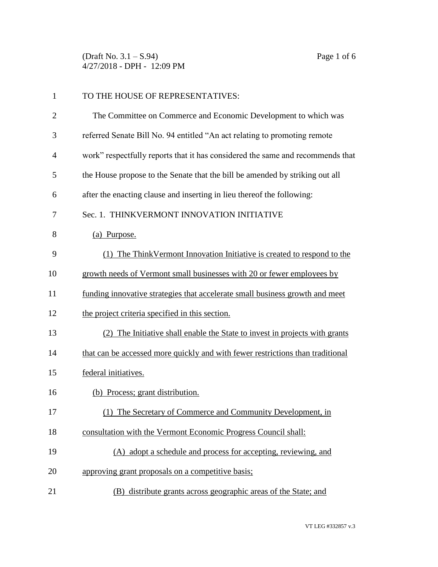(Draft No. 3.1 – S.94) Page 1 of 6 4/27/2018 - DPH - 12:09 PM

| $\mathbf{1}$   | TO THE HOUSE OF REPRESENTATIVES:                                               |
|----------------|--------------------------------------------------------------------------------|
| $\overline{2}$ | The Committee on Commerce and Economic Development to which was                |
| 3              | referred Senate Bill No. 94 entitled "An act relating to promoting remote      |
| $\overline{4}$ | work" respectfully reports that it has considered the same and recommends that |
| 5              | the House propose to the Senate that the bill be amended by striking out all   |
| 6              | after the enacting clause and inserting in lieu thereof the following:         |
| 7              | Sec. 1. THINKVERMONT INNOVATION INITIATIVE                                     |
| 8              | (a) Purpose.                                                                   |
| 9              | (1) The Think Vermont Innovation Initiative is created to respond to the       |
| 10             | growth needs of Vermont small businesses with 20 or fewer employees by         |
| 11             | funding innovative strategies that accelerate small business growth and meet   |
| 12             | the project criteria specified in this section.                                |
| 13             | The Initiative shall enable the State to invest in projects with grants        |
| 14             | that can be accessed more quickly and with fewer restrictions than traditional |
| 15             | federal initiatives.                                                           |
| 16             | (b) Process; grant distribution.                                               |
| 17             | (1) The Secretary of Commerce and Community Development, in                    |
| 18             | consultation with the Vermont Economic Progress Council shall:                 |
| 19             | (A) adopt a schedule and process for accepting, reviewing, and                 |
| 20             | approving grant proposals on a competitive basis;                              |
| 21             | (B) distribute grants across geographic areas of the State; and                |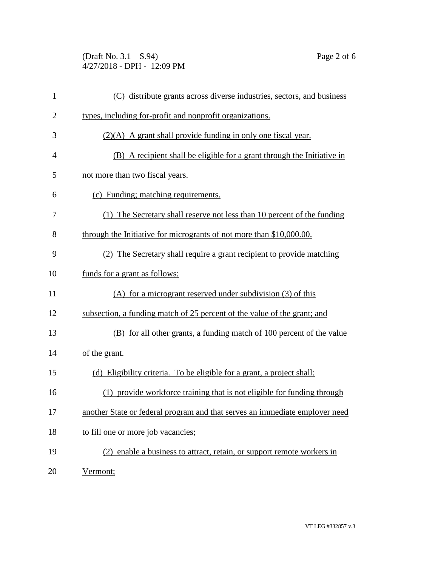(Draft No. 3.1 – S.94) Page 2 of 6 4/27/2018 - DPH - 12:09 PM

| $\mathbf{1}$   | (C) distribute grants across diverse industries, sectors, and business      |
|----------------|-----------------------------------------------------------------------------|
| $\overline{2}$ | types, including for-profit and nonprofit organizations.                    |
| 3              | $(2)(A)$ A grant shall provide funding in only one fiscal year.             |
| 4              | (B) A recipient shall be eligible for a grant through the Initiative in     |
| 5              | not more than two fiscal years.                                             |
| 6              | (c) Funding; matching requirements.                                         |
| 7              | (1) The Secretary shall reserve not less than 10 percent of the funding     |
| 8              | through the Initiative for microgrants of not more than \$10,000.00.        |
| 9              | (2) The Secretary shall require a grant recipient to provide matching       |
| 10             | funds for a grant as follows:                                               |
| 11             | (A) for a microgrant reserved under subdivision (3) of this                 |
| 12             | subsection, a funding match of 25 percent of the value of the grant; and    |
| 13             | (B) for all other grants, a funding match of 100 percent of the value       |
| 14             | of the grant.                                                               |
| 15             | (d) Eligibility criteria. To be eligible for a grant, a project shall:      |
| 16             | (1) provide workforce training that is not eligible for funding through     |
| 17             | another State or federal program and that serves an immediate employer need |
| 18             | to fill one or more job vacancies;                                          |
| 19             | (2) enable a business to attract, retain, or support remote workers in      |
| 20             | Vermont;                                                                    |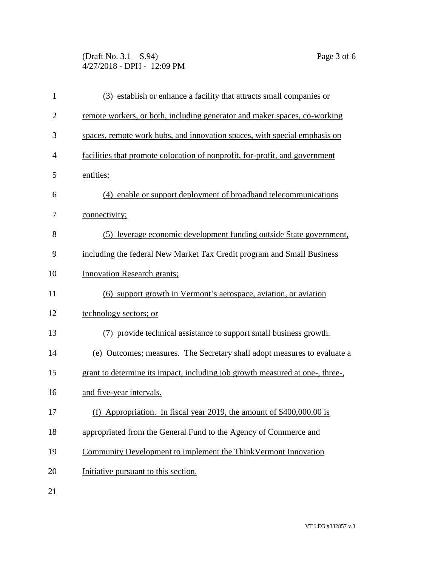(Draft No. 3.1 – S.94) Page 3 of 6 4/27/2018 - DPH - 12:09 PM

| $\mathbf{1}$   | (3) establish or enhance a facility that attracts small companies or          |  |
|----------------|-------------------------------------------------------------------------------|--|
| $\overline{2}$ | remote workers, or both, including generator and maker spaces, co-working     |  |
| 3              | spaces, remote work hubs, and innovation spaces, with special emphasis on     |  |
| $\overline{4}$ | facilities that promote colocation of nonprofit, for-profit, and government   |  |
| 5              | entities;                                                                     |  |
| 6              | (4) enable or support deployment of broadband telecommunications              |  |
| 7              | connectivity;                                                                 |  |
| 8              | (5) leverage economic development funding outside State government,           |  |
| 9              | including the federal New Market Tax Credit program and Small Business        |  |
| 10             | <b>Innovation Research grants;</b>                                            |  |
| 11             | (6) support growth in Vermont's aerospace, aviation, or aviation              |  |
| 12             | technology sectors; or                                                        |  |
| 13             | (7) provide technical assistance to support small business growth.            |  |
| 14             | (e) Outcomes; measures. The Secretary shall adopt measures to evaluate a      |  |
| 15             | grant to determine its impact, including job growth measured at one-, three-, |  |
| 16             | and five-year intervals.                                                      |  |
| 17             | (f) Appropriation. In fiscal year 2019, the amount of \$400,000.00 is         |  |
| 18             | appropriated from the General Fund to the Agency of Commerce and              |  |
| 19             | Community Development to implement the ThinkVermont Innovation                |  |
| 20             | Initiative pursuant to this section.                                          |  |
|                |                                                                               |  |

21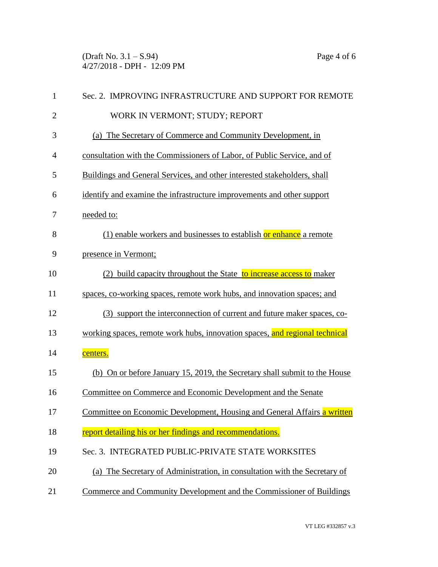(Draft No. 3.1 – S.94) Page 4 of 6 4/27/2018 - DPH - 12:09 PM

| $\mathbf{1}$   | Sec. 2. IMPROVING INFRASTRUCTURE AND SUPPORT FOR REMOTE                     |  |  |
|----------------|-----------------------------------------------------------------------------|--|--|
| $\overline{2}$ | WORK IN VERMONT; STUDY; REPORT                                              |  |  |
| 3              | (a) The Secretary of Commerce and Community Development, in                 |  |  |
| $\overline{4}$ | consultation with the Commissioners of Labor, of Public Service, and of     |  |  |
| 5              | Buildings and General Services, and other interested stakeholders, shall    |  |  |
| 6              | identify and examine the infrastructure improvements and other support      |  |  |
| 7              | needed to:                                                                  |  |  |
| 8              | (1) enable workers and businesses to establish or enhance a remote          |  |  |
| 9              | presence in Vermont;                                                        |  |  |
| 10             | (2) build capacity throughout the State to increase access to maker         |  |  |
| 11             | spaces, co-working spaces, remote work hubs, and innovation spaces; and     |  |  |
| 12             | (3) support the interconnection of current and future maker spaces, co-     |  |  |
| 13             | working spaces, remote work hubs, innovation spaces, and regional technical |  |  |
| 14             | centers.                                                                    |  |  |
| 15             | (b) On or before January 15, 2019, the Secretary shall submit to the House  |  |  |
| 16             | Committee on Commerce and Economic Development and the Senate               |  |  |
| 17             | Committee on Economic Development, Housing and General Affairs a written    |  |  |
| 18             | report detailing his or her findings and recommendations.                   |  |  |
| 19             | Sec. 3. INTEGRATED PUBLIC-PRIVATE STATE WORKSITES                           |  |  |
| 20             | (a) The Secretary of Administration, in consultation with the Secretary of  |  |  |
| 21             | Commerce and Community Development and the Commissioner of Buildings        |  |  |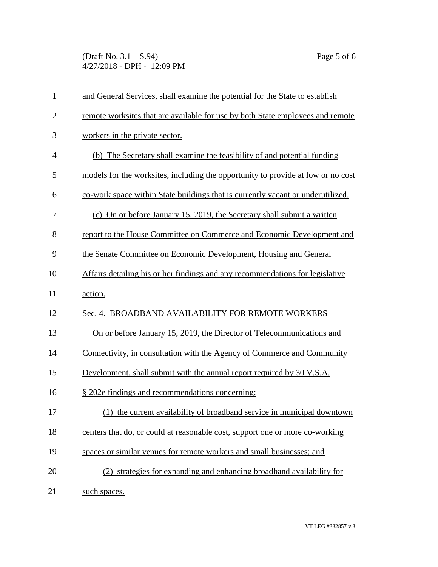(Draft No. 3.1 – S.94) Page 5 of 6 4/27/2018 - DPH - 12:09 PM

| $\mathbf{1}$   | and General Services, shall examine the potential for the State to establish     |
|----------------|----------------------------------------------------------------------------------|
| $\overline{2}$ | remote worksites that are available for use by both State employees and remote   |
| 3              | workers in the private sector.                                                   |
| $\overline{4}$ | (b) The Secretary shall examine the feasibility of and potential funding         |
| 5              | models for the worksites, including the opportunity to provide at low or no cost |
| 6              | co-work space within State buildings that is currently vacant or underutilized.  |
| 7              | (c) On or before January 15, 2019, the Secretary shall submit a written          |
| 8              | report to the House Committee on Commerce and Economic Development and           |
| 9              | the Senate Committee on Economic Development, Housing and General                |
| 10             | Affairs detailing his or her findings and any recommendations for legislative    |
| 11             | action.                                                                          |
| 12             | Sec. 4. BROADBAND AVAILABILITY FOR REMOTE WORKERS                                |
| 13             | On or before January 15, 2019, the Director of Telecommunications and            |
| 14             | Connectivity, in consultation with the Agency of Commerce and Community          |
| 15             | Development, shall submit with the annual report required by 30 V.S.A.           |
| 16             | § 202e findings and recommendations concerning:                                  |
| 17             | (1) the current availability of broadband service in municipal downtown          |
| 18             | centers that do, or could at reasonable cost, support one or more co-working     |
| 19             | spaces or similar venues for remote workers and small businesses; and            |
| 20             | (2) strategies for expanding and enhancing broadband availability for            |
| 21             | such spaces.                                                                     |